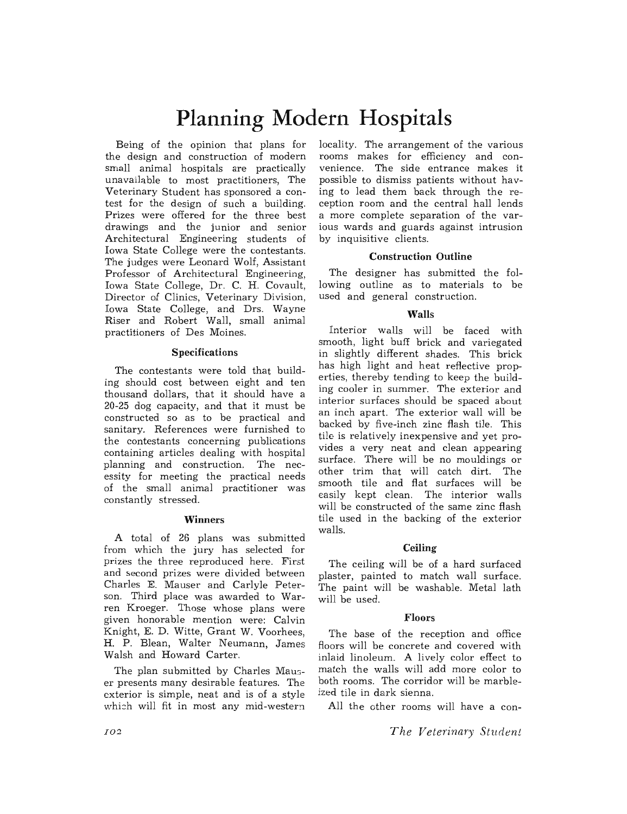# **Planning Modern Hospitals**

Being of the opinion that plans for the design and construction of modern small animal hospitals are practically unavailable to most practitioners, The Veterinary Student has sponsored a contest for the design of such a building. Prizes were offered for the three best drawings and the junior and senior Architectural Engineering students of Iowa State College were the contestants. The judges were Leonard Wolf, Assistant Professor of Architectural Engineering, Iowa State College, Dr. C. H. Covault, Director of Clinics, Veterinary Division, Iowa State College, and Drs. Wayne Riser and Robert Wall, small animal practitioners of Des Moines.

# Specifications

The contestants were told that building should cost between eight and ten thousand dollars, that it should have a 20-25 dog capacity, and that it must be constructed so as to be practical and sanitary. References were furnished to the contestants concerning publications containing articles dealing with hospital planning and construction. The necessity for meeting the practical needs of the small animal practitioner was constantly stressed.

# Winners

A total of 26 plans was submitted from which the jury has selected for prizes the three reproduced here. First and second prizes were divided between Charles E. Mauser and Carlyle Peterson. Third place was awarded to Warren Kroeger. Those whose plans were given honorable mention were: Calvin Knight, E. D. Witte, Grant W. Voorhees, H. P. Blean, Walter Neumann, James Walsh and Howard Carter.

The plan submitted by Charles Mauser presents many desirable features. The exterior is simple, neat and is of a style which will fit in most any mid-western

locality. The arrangement of the various rooms makes for efficiency and convenience. The side entrance makes it possible to dismiss patients without having to lead them back through the reception room and the central hall lends a more complete separation of the various wards and guards against intrusion by inquisitive clients.

## Construction Outline

The designer has submitted the following outline as to materials to be used and general construction.

# Walls

Interior walls will be faced with smooth, light buff brick and variegated in slightly different shades. This brick has high light and heat reflective properties, thereby tending to keep the building cooler in summer. The exterior and interior surfaces should be spaced about an inch apart. The exterior wall will be backed by five-inch zinc flash tile. This tile is relatively inexpensive and yet provides a very neat and clean appearing surface. There will be no mouldings or other trim that will catch dirt. The smooth tile and flat surfaces will be easily kept clean. The interior walls will be constructed of the same zinc flash tile used in the backing of the exterior walls.

# **Ceiling**

The ceiling will be of a hard surfaced plaster, painted to match wall surface. The paint will be washable. Metal lath will. be used.

# Floors

The base of the reception and office floors will be concrete and covered with inlaid linoleum. A lively color effect to match the walls will add more color to both rooms. The corridor will be marbleized tile in dark sienna.

All the other rooms will have a con-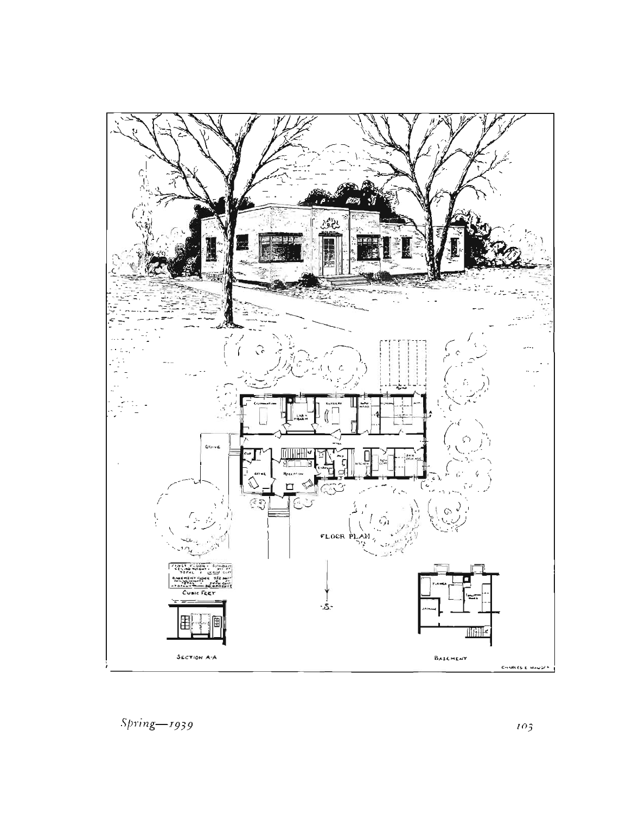

 $Spring - 1939$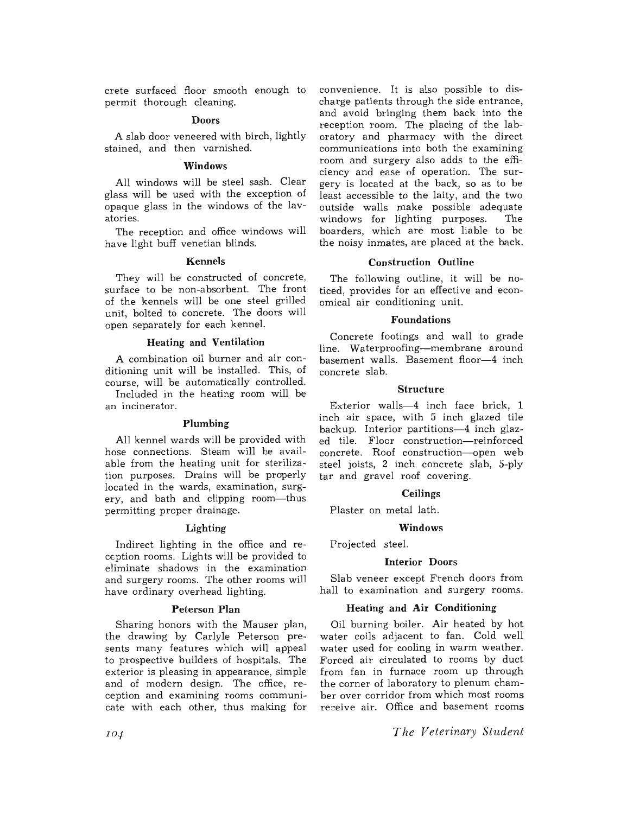crete surfaced floor smooth enough to permit thorough cleaning.

## Doors

A slab door veneered with birch, lightly stained, and then varnished.

#### Windows

All windows will be steel sash. Clear glass will be used with the exception of opaque glass in the windows of the lavatories.

The reception and office windows will have light buff venetian blinds.

#### Kennels

They will be constructed of concrete, surface to be non-absorbent. The front of the kennels will be one steel grilled unit, bolted to concrete. The doors will open separately for each kennel.

#### Heating and Ventilation

A combination oil burner and air conditioning unit will be installed. This, of course, will be automatically controlled.

Included in the heating room will be an incinerator.

#### Plumbing

All kennel wards will be provided with hose connections. Steam will be available from the heating unit for sterilization purposes. Drains will be properly located in the wards, examination, surgery, and bath and clipping room-thus permitting proper drainage.

## Lighting

Indirect lighting in the office and reception rooms. Lights will be provided to eliminate shadows in the examination and surgery rooms. The other rooms will have ordinary overhead lighting.

## Peterson Plan

Sharing honors with the Mauser plan, the drawing by Carlyle Peterson presents many features which will appeal to prospective builders of hospitals. The exterior is pleasing in appearance, simple and of modern design. The office, reception and examining rooms communicate with each other, thus making for

convenience. It is also possible to discharge patients through the side entrance, and avoid bringing them back into the reception room. The placing of the laboratory and pharmacy with the direct communications into both the examining room and surgery also adds to the efficiency and ease of operation. The surgery is located at the back, so as to be least accessible to the laity, and the two outside walls make possible adequate windows for lighting purposes. The boarders, which are most liable to be the noisy inmates, are placed at the back.

#### Construction Outline

The following outline, it will be noticed, provides for an effective and economical air conditioning unit.

#### Foundations

Concrete footings and wall to grade line. Waterproofing-membrane around basement walls. Basement floor-4 inch concrete slab.

#### Structure

Exterior walls-4 inch face brick, 1 inch air space, with 5 inch glazed tile backup. Interior partitions-4 inch glazed tile. Floor construction-reinforced concrete. Roof construction-open web steel joists, 2 inch concrete slab, 5-ply tar and gravel roof covering.

## **Ceilings**

Plaster on metal lath.

# Windows

Projected steel.

## Interior Doors

Slab veneer except French doors from hall to examination and surgery rooms.

#### Heating and Air Conditioning

Oil burning boiler. Air heated by hot water coils adjacent to fan. Cold well water used for cooling in warm weather. Forced air circulated to rooms by duct from fan in furnace room up through the corner of laboratory to plenum chamber over corridor from which most rooms receive air. Office and basement rooms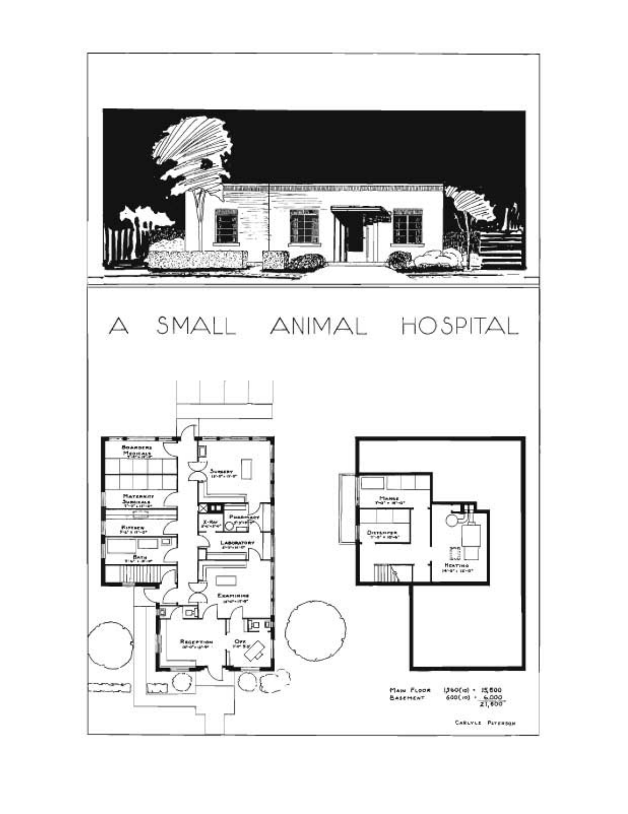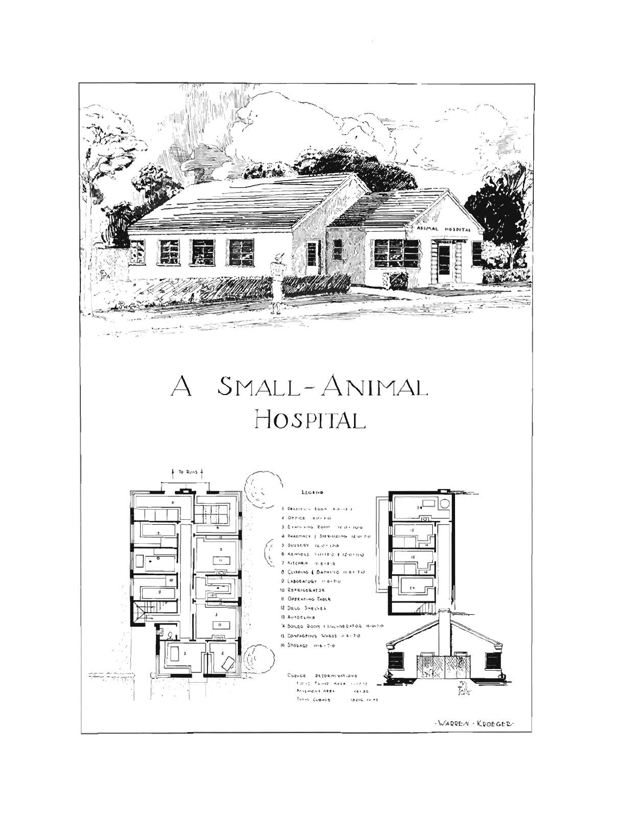